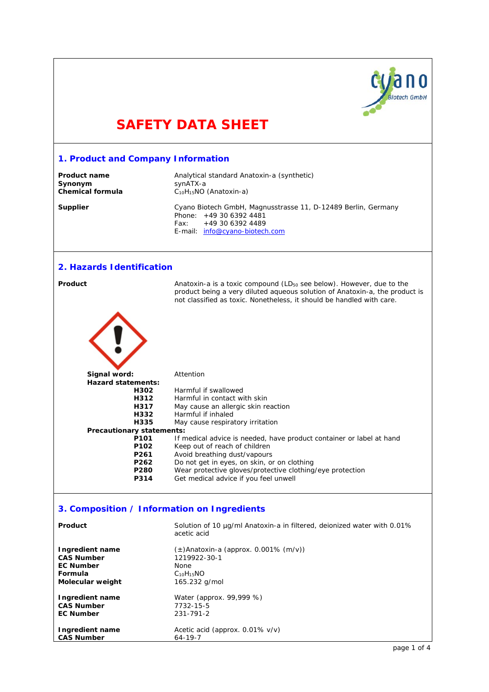

# **SAFETY DATA SHEET**

| 1. Product and Company Information          |                                                                                                                                                      |  |
|---------------------------------------------|------------------------------------------------------------------------------------------------------------------------------------------------------|--|
| <b>Product name</b>                         | Analytical standard Anatoxin-a (synthetic)                                                                                                           |  |
| Synonym                                     | synATX-a                                                                                                                                             |  |
| <b>Chemical formula</b>                     | C <sub>10</sub> H <sub>15</sub> NO (Anatoxin-a)                                                                                                      |  |
|                                             |                                                                                                                                                      |  |
| <b>Supplier</b>                             | Cyano Biotech GmbH, Magnusstrasse 11, D-12489 Berlin, Germany<br>Phone: +49 30 6392 4481                                                             |  |
|                                             | Fax:<br>+49 30 6392 4489                                                                                                                             |  |
|                                             | E-mail: info@cyano-biotech.com                                                                                                                       |  |
|                                             |                                                                                                                                                      |  |
|                                             |                                                                                                                                                      |  |
| 2. Hazards Identification                   |                                                                                                                                                      |  |
|                                             |                                                                                                                                                      |  |
| Product                                     | Anatoxin-a is a toxic compound (LD <sub>50</sub> see below). However, due to the                                                                     |  |
|                                             | product being a very diluted aqueous solution of Anatoxin-a, the product is<br>not classified as toxic. Nonetheless, it should be handled with care. |  |
|                                             |                                                                                                                                                      |  |
|                                             |                                                                                                                                                      |  |
|                                             |                                                                                                                                                      |  |
|                                             |                                                                                                                                                      |  |
|                                             |                                                                                                                                                      |  |
|                                             |                                                                                                                                                      |  |
|                                             |                                                                                                                                                      |  |
|                                             |                                                                                                                                                      |  |
| Signal word:                                | Attention                                                                                                                                            |  |
| <b>Hazard statements:</b>                   |                                                                                                                                                      |  |
| H302                                        | Harmful if swallowed                                                                                                                                 |  |
| H312                                        | Harmful in contact with skin                                                                                                                         |  |
| H317                                        | May cause an allergic skin reaction                                                                                                                  |  |
| H332                                        | Harmful if inhaled                                                                                                                                   |  |
| H335                                        | May cause respiratory irritation                                                                                                                     |  |
| Precautionary statements:                   |                                                                                                                                                      |  |
| P <sub>101</sub>                            | If medical advice is needed, have product container or label at hand                                                                                 |  |
| P <sub>102</sub>                            | Keep out of reach of children                                                                                                                        |  |
| P261                                        | Avoid breathing dust/vapours                                                                                                                         |  |
| P262<br>P280                                | Do not get in eyes, on skin, or on clothing                                                                                                          |  |
| P314                                        | Wear protective gloves/protective clothing/eye protection<br>Get medical advice if you feel unwell                                                   |  |
|                                             |                                                                                                                                                      |  |
|                                             |                                                                                                                                                      |  |
| 3. Composition / Information on Ingredients |                                                                                                                                                      |  |
|                                             |                                                                                                                                                      |  |
| Product                                     | Solution of 10 µg/ml Anatoxin-a in filtered, deionized water with 0.01%                                                                              |  |
|                                             | acetic acid                                                                                                                                          |  |
|                                             |                                                                                                                                                      |  |
| Ingredient name                             | $(\pm)$ Anatoxin-a (approx. 0.001% (m/v))                                                                                                            |  |
| <b>CAS Number</b><br><b>EC Number</b>       | 1219922-30-1                                                                                                                                         |  |
| Formula                                     | None<br>$C_{10}H_{15}NO$                                                                                                                             |  |
| Molecular weight                            | 165.232 g/mol                                                                                                                                        |  |
|                                             |                                                                                                                                                      |  |

Water (approx. 99,999 %)<br>7732-15-5

Acetic acid (approx. 0.01% v/v)<br>64-19-7

**Ingredient name**<br>CAS Number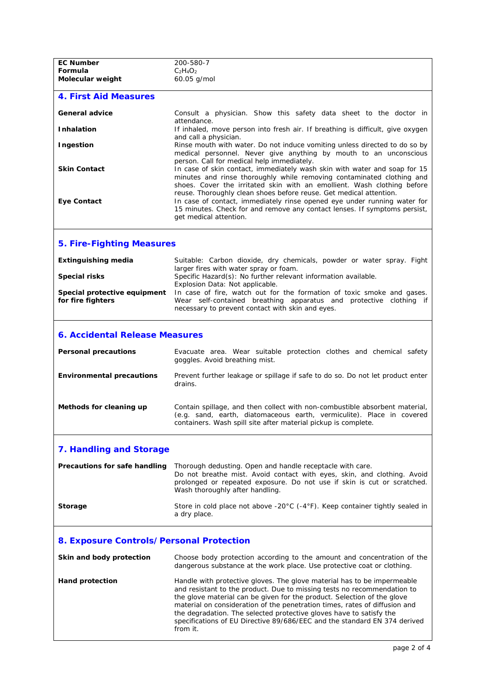| <b>EC Number</b>                                  | 200-580-7                                                                                                                                                                                                                                                                                                                                                                                                                                                                   |  |
|---------------------------------------------------|-----------------------------------------------------------------------------------------------------------------------------------------------------------------------------------------------------------------------------------------------------------------------------------------------------------------------------------------------------------------------------------------------------------------------------------------------------------------------------|--|
| Formula                                           | $C_2H_4O_2$                                                                                                                                                                                                                                                                                                                                                                                                                                                                 |  |
| Molecular weight                                  | 60.05 g/mol                                                                                                                                                                                                                                                                                                                                                                                                                                                                 |  |
| <b>4. First Aid Measures</b>                      |                                                                                                                                                                                                                                                                                                                                                                                                                                                                             |  |
| General advice                                    | Consult a physician. Show this safety data sheet to the doctor in<br>attendance.                                                                                                                                                                                                                                                                                                                                                                                            |  |
| <b>Inhalation</b>                                 | If inhaled, move person into fresh air. If breathing is difficult, give oxygen<br>and call a physician.                                                                                                                                                                                                                                                                                                                                                                     |  |
| Ingestion                                         | Rinse mouth with water. Do not induce vomiting unless directed to do so by<br>medical personnel. Never give anything by mouth to an unconscious                                                                                                                                                                                                                                                                                                                             |  |
| <b>Skin Contact</b>                               | person. Call for medical help immediately.<br>In case of skin contact, immediately wash skin with water and soap for 15<br>minutes and rinse thoroughly while removing contaminated clothing and<br>shoes. Cover the irritated skin with an emollient. Wash clothing before<br>reuse. Thoroughly clean shoes before reuse. Get medical attention.                                                                                                                           |  |
| <b>Eye Contact</b>                                | In case of contact, immediately rinse opened eye under running water for<br>15 minutes. Check for and remove any contact lenses. If symptoms persist,<br>get medical attention.                                                                                                                                                                                                                                                                                             |  |
| <b>5. Fire-Fighting Measures</b>                  |                                                                                                                                                                                                                                                                                                                                                                                                                                                                             |  |
| <b>Extinguishing media</b>                        | Suitable: Carbon dioxide, dry chemicals, powder or water spray. Fight<br>larger fires with water spray or foam.                                                                                                                                                                                                                                                                                                                                                             |  |
| <b>Special risks</b>                              | Specific Hazard(s): No further relevant information available.<br>Explosion Data: Not applicable.                                                                                                                                                                                                                                                                                                                                                                           |  |
| Special protective equipment<br>for fire fighters | In case of fire, watch out for the formation of toxic smoke and gases.<br>Wear self-contained breathing apparatus and protective clothing if<br>necessary to prevent contact with skin and eyes.                                                                                                                                                                                                                                                                            |  |
| <b>6. Accidental Release Measures</b>             |                                                                                                                                                                                                                                                                                                                                                                                                                                                                             |  |
| <b>Personal precautions</b>                       | Evacuate area. Wear suitable protection clothes and chemical safety<br>goggles. Avoid breathing mist.                                                                                                                                                                                                                                                                                                                                                                       |  |
| <b>Environmental precautions</b>                  | Prevent further leakage or spillage if safe to do so. Do not let product enter<br>drains.                                                                                                                                                                                                                                                                                                                                                                                   |  |
| Methods for cleaning up                           | Contain spillage, and then collect with non-combustible absorbent material,<br>(e.g. sand, earth, diatomaceous earth, vermiculite). Place in covered<br>containers. Wash spill site after material pickup is complete.                                                                                                                                                                                                                                                      |  |
| <b>7. Handling and Storage</b>                    |                                                                                                                                                                                                                                                                                                                                                                                                                                                                             |  |
| Precautions for safe handling                     | Thorough dedusting. Open and handle receptacle with care.<br>Do not breathe mist. Avoid contact with eyes, skin, and clothing. Avoid<br>prolonged or repeated exposure. Do not use if skin is cut or scratched.<br>Wash thoroughly after handling.                                                                                                                                                                                                                          |  |
| Storage                                           | Store in cold place not above -20 $^{\circ}$ C (-4 $^{\circ}$ F). Keep container tightly sealed in<br>a dry place.                                                                                                                                                                                                                                                                                                                                                          |  |
| 8. Exposure Controls/Personal Protection          |                                                                                                                                                                                                                                                                                                                                                                                                                                                                             |  |
| Skin and body protection                          | Choose body protection according to the amount and concentration of the<br>dangerous substance at the work place. Use protective coat or clothing.                                                                                                                                                                                                                                                                                                                          |  |
| <b>Hand protection</b>                            | Handle with protective gloves. The glove material has to be impermeable<br>and resistant to the product. Due to missing tests no recommendation to<br>the glove material can be given for the product. Selection of the glove<br>material on consideration of the penetration times, rates of diffusion and<br>the degradation. The selected protective gloves have to satisfy the<br>specifications of EU Directive 89/686/EEC and the standard EN 374 derived<br>from it. |  |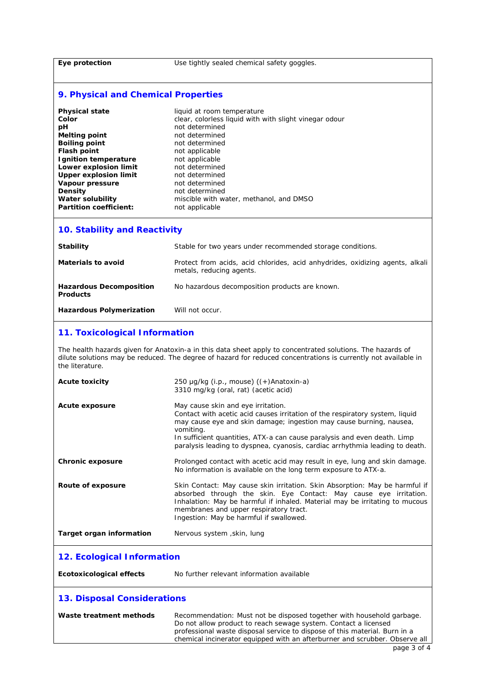#### Eye protection Use tightly sealed chemical safety goggles.

# **9. Physical and Chemical Properties**

| Physical state                | liquid at room temperature                             |
|-------------------------------|--------------------------------------------------------|
| Color                         | clear, colorless liquid with with slight vinegar odour |
| pН                            | not determined                                         |
| Melting point                 | not determined                                         |
| Boiling point                 | not determined                                         |
| Flash point                   | not applicable                                         |
| Ignition temperature          | not applicable                                         |
| Lower explosion limit         | not determined                                         |
| <b>Upper explosion limit</b>  | not determined                                         |
| Vapour pressure               | not determined                                         |
|                               |                                                        |
| Density                       | not determined                                         |
| Water solubility              | miscible with water, methanol, and DMSO                |
| <b>Partition coefficient:</b> | not applicable                                         |

## **10. Stability and Reactivity**

| Stability                                         | Stable for two years under recommended storage conditions.                                                |
|---------------------------------------------------|-----------------------------------------------------------------------------------------------------------|
| <b>Materials to avoid</b>                         | Protect from acids, acid chlorides, acid anhydrides, oxidizing agents, alkali<br>metals, reducing agents. |
| <b>Hazardous Decomposition</b><br><b>Products</b> | No hazardous decomposition products are known.                                                            |
| <b>Hazardous Polymerization</b>                   | Will not occur.                                                                                           |

## **11. Toxicological Information**

The health hazards given for Anatoxin-a in this data sheet apply to concentrated solutions. The hazards of dilute solutions may be reduced. The degree of hazard for reduced concentrations is currently not available in the literature.

| <b>Acute toxicity</b>              | 250 $\mu$ g/kg (i.p., mouse) ((+)Anatoxin-a)<br>3310 mg/kg (oral, rat) (acetic acid)                                                                                                                                                                                                                                                                               |  |
|------------------------------------|--------------------------------------------------------------------------------------------------------------------------------------------------------------------------------------------------------------------------------------------------------------------------------------------------------------------------------------------------------------------|--|
| <b>Acute exposure</b>              | May cause skin and eye irritation.<br>Contact with acetic acid causes irritation of the respiratory system, liquid<br>may cause eye and skin damage; ingestion may cause burning, nausea,<br>vomiting.<br>In sufficient quantities, ATX-a can cause paralysis and even death. Limp<br>paralysis leading to dyspnea, cyanosis, cardiac arrhythmia leading to death. |  |
| <b>Chronic exposure</b>            | Prolonged contact with acetic acid may result in eye, lung and skin damage.<br>No information is available on the long term exposure to ATX-a.                                                                                                                                                                                                                     |  |
| Route of exposure                  | Skin Contact: May cause skin irritation. Skin Absorption: May be harmful if<br>absorbed through the skin. Eye Contact: May cause eye irritation.<br>Inhalation: May be harmful if inhaled. Material may be irritating to mucous<br>membranes and upper respiratory tract.<br>Ingestion: May be harmful if swallowed.                                               |  |
| <b>Target organ information</b>    | Nervous system, skin, lung                                                                                                                                                                                                                                                                                                                                         |  |
| 12. Ecological Information         |                                                                                                                                                                                                                                                                                                                                                                    |  |
| <b>Ecotoxicological effects</b>    | No further relevant information available                                                                                                                                                                                                                                                                                                                          |  |
| <b>13. Disposal Considerations</b> |                                                                                                                                                                                                                                                                                                                                                                    |  |
| Waste treatment methods            | Recommendation: Must not be disposed together with household garbage.<br>Do not allow product to reach sewage system. Contact a licensed<br>professional waste disposal service to dispose of this material. Burn in a<br>chemical incinerator equipped with an afterburner and scrubber. Observe all                                                              |  |